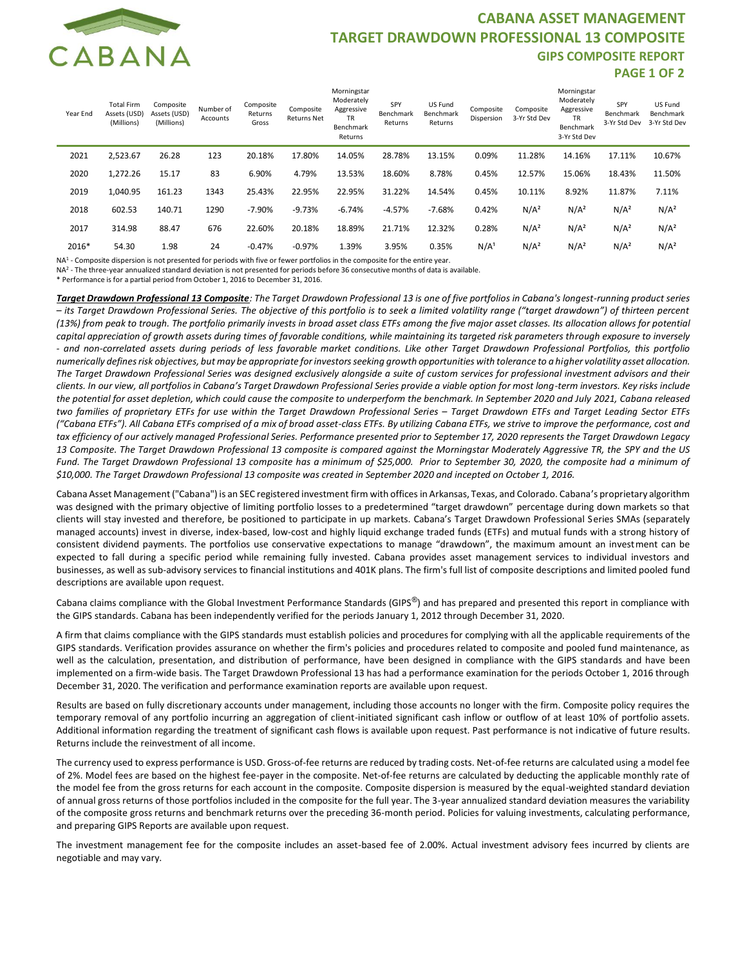

## **CABANA ASSET MANAGEMENT TARGET DRAWDOWN PROFESSIONAL 13 COMPOSITE GIPS COMPOSITE REPORT PAGE 1 OF 2**

| Year End | <b>Total Firm</b><br>Assets (USD)<br>(Millions) | Composite<br>Assets (USD)<br>(Millions) | Number of<br>Accounts | Composite<br>Returns<br>Gross | Composite<br><b>Returns Net</b> | Morningstar<br>Moderately<br>Aggressive<br><b>TR</b><br>Benchmark<br>Returns | SPY<br>Benchmark<br>Returns | US Fund<br>Benchmark<br>Returns | Composite<br>Dispersion | Composite<br>3-Yr Std Dev | Morningstar<br>Moderately<br>Aggressive<br><b>TR</b><br>Benchmark<br>3-Yr Std Dev | SPY<br>Benchmark<br>3-Yr Std Dev | US Fund<br>Benchmark<br>3-Yr Std Dev |
|----------|-------------------------------------------------|-----------------------------------------|-----------------------|-------------------------------|---------------------------------|------------------------------------------------------------------------------|-----------------------------|---------------------------------|-------------------------|---------------------------|-----------------------------------------------------------------------------------|----------------------------------|--------------------------------------|
| 2021     | 2,523.67                                        | 26.28                                   | 123                   | 20.18%                        | 17.80%                          | 14.05%                                                                       | 28.78%                      | 13.15%                          | 0.09%                   | 11.28%                    | 14.16%                                                                            | 17.11%                           | 10.67%                               |
| 2020     | 1,272.26                                        | 15.17                                   | 83                    | 6.90%                         | 4.79%                           | 13.53%                                                                       | 18.60%                      | 8.78%                           | 0.45%                   | 12.57%                    | 15.06%                                                                            | 18.43%                           | 11.50%                               |
| 2019     | 1,040.95                                        | 161.23                                  | 1343                  | 25.43%                        | 22.95%                          | 22.95%                                                                       | 31.22%                      | 14.54%                          | 0.45%                   | 10.11%                    | 8.92%                                                                             | 11.87%                           | 7.11%                                |
| 2018     | 602.53                                          | 140.71                                  | 1290                  | $-7.90%$                      | $-9.73%$                        | $-6.74%$                                                                     | $-4.57%$                    | $-7.68%$                        | 0.42%                   | N/A <sup>2</sup>          | N/A <sup>2</sup>                                                                  | N/A <sup>2</sup>                 | N/A <sup>2</sup>                     |
| 2017     | 314.98                                          | 88.47                                   | 676                   | 22.60%                        | 20.18%                          | 18.89%                                                                       | 21.71%                      | 12.32%                          | 0.28%                   | N/A <sup>2</sup>          | N/A <sup>2</sup>                                                                  | N/A <sup>2</sup>                 | N/A <sup>2</sup>                     |
| 2016*    | 54.30                                           | 1.98                                    | 24                    | $-0.47%$                      | $-0.97%$                        | 1.39%                                                                        | 3.95%                       | 0.35%                           | N/A <sup>1</sup>        | N/A <sup>2</sup>          | N/A <sup>2</sup>                                                                  | N/A <sup>2</sup>                 | N/A <sup>2</sup>                     |

NA<sup>1</sup> - Composite dispersion is not presented for periods with five or fewer portfolios in the composite for the entire year.

NA<sup>2</sup> - The three-year annualized standard deviation is not presented for periods before 36 consecutive months of data is available.

\* Performance is for a partial period from October 1, 2016 to December 31, 2016.

*Target Drawdown Professional 13 Composite: The Target Drawdown Professional 13 is one of five portfolios in Cabana's longest-running product series – its Target Drawdown Professional Series. The objective of this portfolio is to seek a limited volatility range ("target drawdown") of thirteen percent (13%) from peak to trough. The portfolio primarily invests in broad asset class ETFs among the five major asset classes. Its allocation allows for potential capital appreciation of growth assets during times of favorable conditions, while maintaining its targeted risk parameters through exposure to inversely*  - and non-correlated assets during periods of less favorable market conditions. Like other Target Drawdown Professional Portfolios, this portfolio *numerically defines risk objectives, but may be appropriate for investors seeking growth opportunities with tolerance to a higher volatility asset allocation. The Target Drawdown Professional Series was designed exclusively alongside a suite of custom services for professional investment advisors and their clients. In our view, all portfolios in Cabana's Target Drawdown Professional Series provide a viable option for most long-term investors. Key risks include the potential for asset depletion, which could cause the composite to underperform the benchmark. In September 2020 and July 2021, Cabana released two families of proprietary ETFs for use within the Target Drawdown Professional Series - Target Drawdown ETFs and Target Leading Sector ETFs ("Cabana ETFs"). All Cabana ETFs comprised of a mix of broad asset-class ETFs. By utilizing Cabana ETFs, we strive to improve the performance, cost and tax efficiency of our actively managed Professional Series. Performance presented prior to September 17, 2020 represents the Target Drawdown Legacy 13 Composite. The Target Drawdown Professional 13 composite is compared against the Morningstar Moderately Aggressive TR, the SPY and the US Fund. The Target Drawdown Professional 13 composite has a minimum of \$25,000. Prior to September 30, 2020, the composite had a minimum of \$10,000. The Target Drawdown Professional 13 composite was created in September 2020 and incepted on October 1, 2016.*

Cabana Asset Management ("Cabana") is an SEC registered investment firm with offices in Arkansas, Texas, and Colorado. Cabana's proprietary algorithm was designed with the primary objective of limiting portfolio losses to a predetermined "target drawdown" percentage during down markets so that clients will stay invested and therefore, be positioned to participate in up markets. Cabana's Target Drawdown Professional Series SMAs (separately managed accounts) invest in diverse, index-based, low-cost and highly liquid exchange traded funds (ETFs) and mutual funds with a strong history of consistent dividend payments. The portfolios use conservative expectations to manage "drawdown", the maximum amount an investment can be expected to fall during a specific period while remaining fully invested. Cabana provides asset management services to individual investors and businesses, as well as sub-advisory services to financial institutions and 401K plans. The firm's full list of composite descriptions and limited pooled fund descriptions are available upon request.

Cabana claims compliance with the Global Investment Performance Standards (GIPS®) and has prepared and presented this report in compliance with the GIPS standards. Cabana has been independently verified for the periods January 1, 2012 through December 31, 2020.

A firm that claims compliance with the GIPS standards must establish policies and procedures for complying with all the applicable requirements of the GIPS standards. Verification provides assurance on whether the firm's policies and procedures related to composite and pooled fund maintenance, as well as the calculation, presentation, and distribution of performance, have been designed in compliance with the GIPS standards and have been implemented on a firm-wide basis. The Target Drawdown Professional 13 has had a performance examination for the periods October 1, 2016 through December 31, 2020. The verification and performance examination reports are available upon request.

Results are based on fully discretionary accounts under management, including those accounts no longer with the firm. Composite policy requires the temporary removal of any portfolio incurring an aggregation of client-initiated significant cash inflow or outflow of at least 10% of portfolio assets. Additional information regarding the treatment of significant cash flows is available upon request. Past performance is not indicative of future results. Returns include the reinvestment of all income.

The currency used to express performance is USD. Gross-of-fee returns are reduced by trading costs. Net-of-fee returns are calculated using a model fee of 2%. Model fees are based on the highest fee-payer in the composite. Net-of-fee returns are calculated by deducting the applicable monthly rate of the model fee from the gross returns for each account in the composite. Composite dispersion is measured by the equal-weighted standard deviation of annual gross returns of those portfolios included in the composite for the full year. The 3-year annualized standard deviation measures the variability of the composite gross returns and benchmark returns over the preceding 36-month period. Policies for valuing investments, calculating performance, and preparing GIPS Reports are available upon request.

The investment management fee for the composite includes an asset-based fee of 2.00%. Actual investment advisory fees incurred by clients are negotiable and may vary.